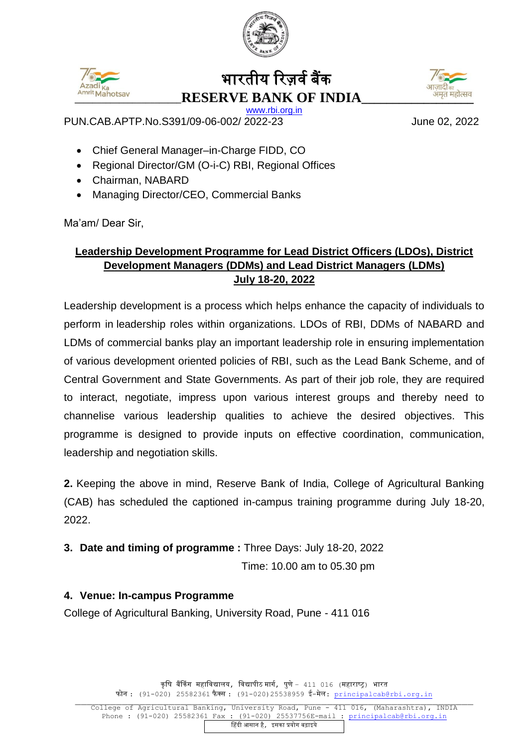



## भारतीय ररज़र्वबैंक **\_\_\_\_\_\_\_\_\_\_\_\_\_\_\_\_\_\_\_\_\_\_\_\_RESERVE BANK OF INDIA\_\_\_\_\_\_\_\_\_\_\_\_\_\_\_\_\_\_**



[www.rbi.org.in](http://www.rbi.org.in/)

PUN.CAB.APTP.No.S391/09-06-002/ 2022-23 June 02, 2022

- Chief General Manager–in-Charge FIDD, CO
- Regional Director/GM (O-i-C) RBI, Regional Offices
- Chairman, NABARD
- Managing Director/CEO, Commercial Banks

Ma'am/ Dear Sir,

### **Leadership Development Programme for Lead District Officers (LDOs), District Development Managers (DDMs) and Lead District Managers (LDMs) July 18-20, 2022**

Leadership development is a process which helps enhance the capacity of individuals to perform in leadership roles within organizations. LDOs of RBI, DDMs of NABARD and LDMs of commercial banks play an important leadership role in ensuring implementation of various development oriented policies of RBI, such as the Lead Bank Scheme, and of Central Government and State Governments. As part of their job role, they are required to interact, negotiate, impress upon various interest groups and thereby need to channelise various leadership qualities to achieve the desired objectives. This programme is designed to provide inputs on effective coordination, communication, leadership and negotiation skills.

**2.** Keeping the above in mind, Reserve Bank of India, College of Agricultural Banking (CAB) has scheduled the captioned in-campus training programme during July 18-20, 2022.

**3. Date and timing of programme :** Three Days: July 18-20, 2022

Time: 10.00 am to 05.30 pm

### **4. Venue: In-campus Programme**

College of Agricultural Banking, University Road, Pune - 411 016

कृषि बैंकिंग महाविद्यालय, विद्यापीठ मार्ग, पुणे – 411 016 (महाराष्ट्र) भारत फोन :  $(91-020)$  25582361 फैक्स :  $(91-020)$  25538959 ई-मेल: [principalcab@rbi.org.in](mailto:principalcab@rbi.org.in)